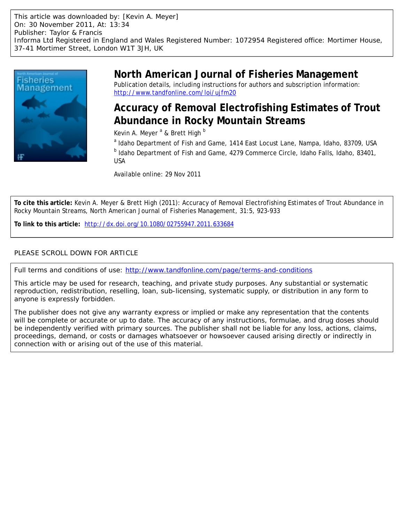This article was downloaded by: [Kevin A. Meyer] On: 30 November 2011, At: 13:34 Publisher: Taylor & Francis Informa Ltd Registered in England and Wales Registered Number: 1072954 Registered office: Mortimer House, 37-41 Mortimer Street, London W1T 3JH, UK



# **North American Journal of Fisheries Management**

Publication details, including instructions for authors and subscription information: <http://www.tandfonline.com/loi/ujfm20>

# **Accuracy of Removal Electrofishing Estimates of Trout Abundance in Rocky Mountain Streams**

Kevin A. Meyer <sup>a</sup> & Brett High <sup>b</sup>

<sup>a</sup> Idaho Department of Fish and Game, 1414 East Locust Lane, Nampa, Idaho, 83709, USA <sup>b</sup> Idaho Department of Fish and Game, 4279 Commerce Circle, Idaho Falls, Idaho, 83401, USA

Available online: 29 Nov 2011

**To cite this article:** Kevin A. Meyer & Brett High (2011): Accuracy of Removal Electrofishing Estimates of Trout Abundance in Rocky Mountain Streams, North American Journal of Fisheries Management, 31:5, 923-933

**To link to this article:** <http://dx.doi.org/10.1080/02755947.2011.633684>

# PLEASE SCROLL DOWN FOR ARTICLE

Full terms and conditions of use:<http://www.tandfonline.com/page/terms-and-conditions>

This article may be used for research, teaching, and private study purposes. Any substantial or systematic reproduction, redistribution, reselling, loan, sub-licensing, systematic supply, or distribution in any form to anyone is expressly forbidden.

The publisher does not give any warranty express or implied or make any representation that the contents will be complete or accurate or up to date. The accuracy of any instructions, formulae, and drug doses should be independently verified with primary sources. The publisher shall not be liable for any loss, actions, claims, proceedings, demand, or costs or damages whatsoever or howsoever caused arising directly or indirectly in connection with or arising out of the use of this material.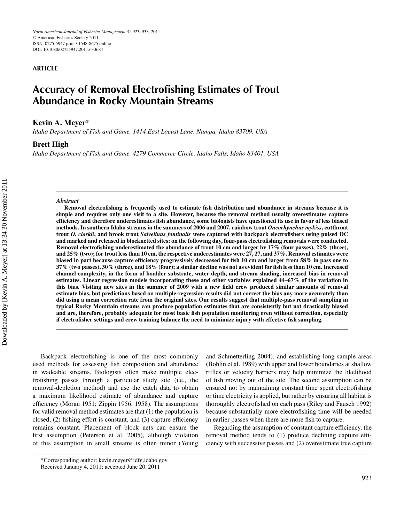### **ARTICLE**

# **Accuracy of Removal Electrofishing Estimates of Trout Abundance in Rocky Mountain Streams**

### **Kevin A. Meyer\***

*Idaho Department of Fish and Game, 1414 East Locust Lane, Nampa, Idaho 83709, USA*

# **Brett High**

*Idaho Department of Fish and Game, 4279 Commerce Circle, Idaho Falls, Idaho 83401, USA*

#### *Abstract*

**Removal electrofishing is frequently used to estimate fish distribution and abundance in streams because it is simple and requires only one visit to a site. However, because the removal method usually overestimates capture efficiency and therefore underestimates fish abundance, some biologists have questioned its use in favor of less biased methods. In southern Idaho streams in the summers of 2006 and 2007, rainbow trout** *Oncorhynchus mykiss***, cutthroat trout** *O. clarkii***, and brook trout** *Salvelinus fontinalis* **were captured with backpack electrofishers using pulsed DC and marked and released in blocknetted sites; on the following day, four-pass electrofishing removals were conducted. Removal electrofishing underestimated the abundance of trout 10 cm and larger by 17% (four passes), 22% (three), and 25% (two); for trout less than 10 cm, the respective underestimates were 27, 27, and 37%. Removal estimates were biased in part because capture efficiency progressively decreased for fish 10 cm and larger from 58% in pass one to 37% (two passes), 30% (three), and 18% (four); a similar decline was not as evident for fish less than 10 cm. Increased channel complexity, in the form of boulder substrate, water depth, and stream shading, increased bias in removal estimates. Linear regression models incorporating these and other variables explained 44–67% of the variation in this bias. Visiting new sites in the summer of 2009 with a new field crew produced similar amounts of removal estimate bias, but predictions based on multiple-regression results did not correct the bias any more accurately than did using a mean correction rate from the original sites. Our results suggest that multiple-pass removal sampling in typical Rocky Mountain streams can produce population estimates that are consistently but not drastically biased and are, therefore, probably adequate for most basic fish population monitoring even without correction, especially if electrofisher settings and crew training balance the need to minimize injury with effective fish sampling.**

Backpack electrofishing is one of the most commonly used methods for assessing fish composition and abundance in wadeable streams. Biologists often make multiple electrofishing passes through a particular study site (i.e., the removal-depletion method) and use the catch data to obtain a maximum likelihood estimate of abundance and capture efficiency (Moran 1951; Zippin 1956, 1958). The assumptions for valid removal method estimates are that (1) the population is closed, (2) fishing effort is constant, and (3) capture efficiency remains constant. Placement of block nets can ensure the first assumption (Peterson et al. 2005), although violation of this assumption in small streams is often minor (Young and Schmetterling 2004), and establishing long sample areas (Bohlin et al. 1989) with upper and lower boundaries at shallow riffles or velocity barriers may help minimize the likelihood of fish moving out of the site. The second assumption can be ensured not by maintaining constant time spent electrofishing or time electricity is applied, but rather by ensuring all habitat is thoroughly electrofished on each pass (Riley and Fausch 1992) because substantially more electrofishing time will be needed in earlier passes when there are more fish to capture.

Regarding the assumption of constant capture efficiency, the removal method tends to (1) produce declining capture efficiency with successive passes and (2) overestimate true capture

<sup>\*</sup>Corresponding author: kevin.meyer@idfg.idaho.gov

Received January 4, 2011; accepted June 20, 2011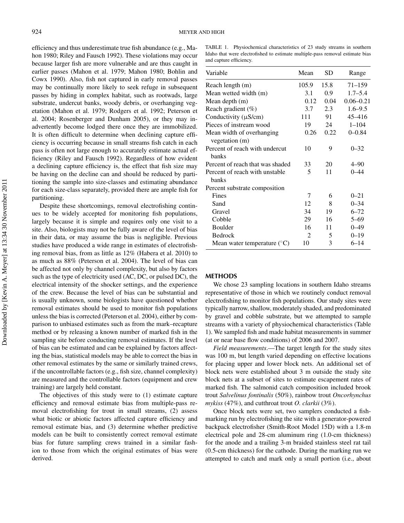efficiency and thus underestimate true fish abundance (e.g., Mahon 1980; Riley and Fausch 1992). These violations may occur because larger fish are more vulnerable and are thus caught in earlier passes (Mahon et al. 1979; Mahon 1980; Bohlin and Cowx 1990). Also, fish not captured in early removal passes may be continually more likely to seek refuge in subsequent passes by hiding in complex habitat, such as rootwads, large substrate, undercut banks, woody debris, or overhanging vegetation (Mahon et al. 1979; Rodgers et al. 1992; Peterson et al. 2004; Rosenberger and Dunham 2005), or they may inadvertently become lodged there once they are immobilized. It is often difficult to determine when declining capture efficiency is occurring because in small streams fish catch in each pass is often not large enough to accurately estimate actual efficiency (Riley and Fausch 1992). Regardless of how evident a declining capture efficiency is, the effect that fish size may be having on the decline can and should be reduced by partitioning the sample into size-classes and estimating abundance for each size-class separately, provided there are ample fish for partitioning.

Despite these shortcomings, removal electrofishing continues to be widely accepted for monitoring fish populations, largely because it is simple and requires only one visit to a site. Also, biologists may not be fully aware of the level of bias in their data, or may assume the bias is negligible. Previous studies have produced a wide range in estimates of electrofishing removal bias, from as little as 12% (Habera et al. 2010) to as much as 88% (Peterson et al. 2004). The level of bias can be affected not only by channel complexity, but also by factors such as the type of electricity used (AC, DC, or pulsed DC), the electrical intensity of the shocker settings, and the experience of the crew. Because the level of bias can be substantial and is usually unknown, some biologists have questioned whether removal estimates should be used to monitor fish populations unless the bias is corrected (Peterson et al. 2004), either by comparison to unbiased estimates such as from the mark–recapture method or by releasing a known number of marked fish in the sampling site before conducting removal estimates. If the level of bias can be estimated and can be explained by factors affecting the bias, statistical models may be able to correct the bias in other removal estimates by the same or similarly trained crews, if the uncontrollable factors (e.g., fish size, channel complexity) are measured and the controllable factors (equipment and crew training) are largely held constant.

The objectives of this study were to (1) estimate capture efficiency and removal estimate bias from multiple-pass removal electrofishing for trout in small streams, (2) assess what biotic or abiotic factors affected capture efficiency and removal estimate bias, and (3) determine whether predictive models can be built to consistently correct removal estimate bias for future sampling crews trained in a similar fashion to those from which the original estimates of bias were derived.

TABLE 1. Physiochemical characteristics of 23 study streams in southern Idaho that were electrofished to estimate multiple-pass removal estimate bias and capture efficiency.

| Variable                                    | Mean  | <b>SD</b> | Range         |  |
|---------------------------------------------|-------|-----------|---------------|--|
| Reach length (m)                            | 105.9 | 15.8      | $71 - 159$    |  |
| Mean wetted width (m)                       | 3.1   | 0.9       | $1.7 - 5.4$   |  |
| Mean depth (m)                              | 0.12  | 0.04      | $0.06 - 0.21$ |  |
| Reach gradient $(\%)$                       | 3.7   | 2.3       | $1.6 - 9.5$   |  |
| Conductivity $(\mu S/cm)$                   | 111   | 91        | 45-416        |  |
| Pieces of instream wood                     | 19    | 24        | $1 - 104$     |  |
| Mean width of overhanging<br>vegetation (m) | 0.26  | 0.22      | $0 - 0.84$    |  |
| Percent of reach with undercut<br>hanks     | 10    | 9         | $0 - 32$      |  |
| Percent of reach that was shaded            | 33    | 20        | $4 - 90$      |  |
| Percent of reach with unstable<br>banks     | 5     | 11        | $0 - 44$      |  |
| Percent substrate composition               |       |           |               |  |
| Fines                                       | 7     | 6         | $0 - 21$      |  |
| Sand                                        | 12    | 8         | $0 - 34$      |  |
| Gravel                                      | 34    | 19        | $6 - 72$      |  |
| Cobble                                      | 29    | 16        | $5 - 69$      |  |
| Boulder                                     | 16    | 11        | $0 - 49$      |  |
| <b>Bedrock</b>                              | 2     | 5         | $0 - 19$      |  |
| Mean water temperature $(^{\circ}C)$        | 10    | 3         | $6 - 14$      |  |

#### **METHODS**

We chose 23 sampling locations in southern Idaho streams representative of those in which we routinely conduct removal electrofishing to monitor fish populations. Our study sites were typically narrow, shallow, moderately shaded, and predominated by gravel and cobble substrate, but we attempted to sample streams with a variety of physiochemical characteristics (Table 1). We sampled fish and made habitat measurements in summer (at or near base flow conditions) of 2006 and 2007.

*Field measurements*.—The target length for the study sites was 100 m, but length varied depending on effective locations for placing upper and lower block nets. An additional set of block nets were established about 3 m outside the study site block nets at a subset of sites to estimate escapement rates of marked fish. The salmonid catch composition included brook trout *Salvelinus fontinalis* (50%), rainbow trout *Oncorhynchus mykiss* (47%), and cutthroat trout *O. clarkii* (3%).

Once block nets were set, two samplers conducted a fishmarking run by electrofishing the site with a generator-powered backpack electrofisher (Smith-Root Model 15D) with a 1.8-m electrical pole and 28-cm aluminum ring (1.0-cm thickness) for the anode and a trailing 3-m braided stainless steel rat tail (0.5-cm thickness) for the cathode. During the marking run we attempted to catch and mark only a small portion (i.e., about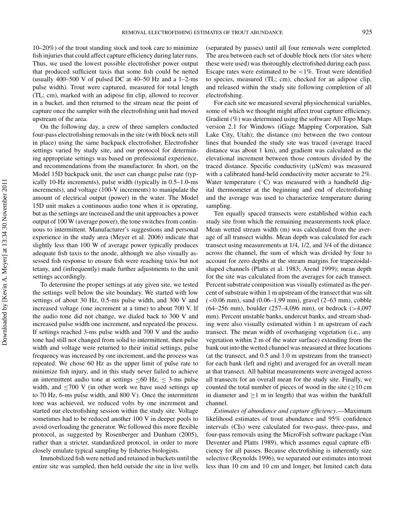10–20%) of the trout standing stock and took care to minimize fish injuries that could affect capture efficiency during later runs. Thus, we used the lowest possible electrofisher power output that produced sufficient taxis that some fish could be netted (usually 400–500 V of pulsed DC at 40–50 Hz and a 1–2-ms pulse width). Trout were captured, measured for total length (TL; cm), marked with an adipose fin clip, allowed to recover in a bucket, and then returned to the stream near the point of capture once the sampler with the electrofishing unit had moved upstream of the area.

On the following day, a crew of three samplers conducted four-pass electrofishing removals in the site (with block nets still in place) using the same backpack electrofisher. Electrofisher settings varied by study site, and our protocol for determining appropriate settings was based on professional experience, and recommendations from the manufacturer. In short, on the Model 15D backpack unit, the user can change pulse rate (typically 10-Hz increments), pulse width (typically in 0.5–1.0-ms increments), and voltage (100-V increments) to manipulate the amount of electrical output (power) in the water. The Model 15D unit makes a continuous audio tone when it is operating, but as the settings are increased and the unit approaches a power output of 100 W (average power), the tone switches from continuous to intermittent. Manufacturer's suggestions and personal experience in the study area (Meyer et al. 2006) indicate that slightly less than 100 W of average power typically produces adequate fish taxis to the anode, although we also visually assessed fish response to ensure fish were reaching taxis but not tetany, and (infrequently) made further adjustments to the unit settings accordingly.

To determine the proper settings at any given site, we tested the settings well below the site boundary. We started with low settings of about 30 Hz, 0.5-ms pulse width, and 300 V and increased voltage (one increment at a time) to about 700 V. If the audio tone did not change, we dialed back to 300 V and increased pulse width one increment, and repeated the process. If settings reached 3-ms pulse width and 700 V and the audio tone had still not changed from solid to intermittent, then pulse width and voltage were returned to their initial settings, pulse frequency was increased by one increment, and the process was repeated. We chose 60 Hz as the upper limit of pulse rate to minimize fish injury, and in this study never failed to achieve an intermittent audio tone at settings  $\leq 60$  Hz,  $\leq$  3-ms pulse width, and  $\leq$ 700 V (in other work we have used settings up to 70 Hz, 6-ms pulse width, and 800 V). Once the intermittent tone was achieved, we reduced volts by one increment and started our electrofishing session within the study site. Voltage sometimes had to be reduced another 100 V in deeper pools to avoid overloading the generator. We followed this more flexible protocol, as suggested by Rosenberger and Dunham (2005), rather than a stricter, standardized protocol, in order to more closely emulate typical sampling by fisheries biologists.

Immobilized fish were netted and retained in buckets until the entire site was sampled, then held outside the site in live wells (separated by passes) until all four removals were completed. The area between each set of double block nets (for sites where these were used) was thoroughly electrofished during each pass. Escape rates were estimated to be  $\langle 1\% \rangle$ . Trout were identified to species, measured (TL; cm), checked for an adipose clip, and released within the study site following completion of all electrofishing.

For each site we measured several physiochemical variables, some of which we thought might affect trout capture efficiency. Gradient (%) was determined using the software All Topo Maps version 2.1 for Windows (iGage Mapping Corporation, Salt Lake City, Utah); the distance (m) between the two contour lines that bounded the study site was traced (average traced distance was about 1 km), and gradient was calculated as the elevational increment between those contours divided by the traced distance. Specific conductivity (µS/cm) was measured with a calibrated hand-held conductivity meter accurate to 2%. Water temperature (°C) was measured with a handheld digital thermometer at the beginning and end of electrofishing and the average was used to characterize temperature during sampling.

Ten equally spaced transects were established within each study site from which the remaining measurements took place. Mean wetted stream width (m) was calculated from the average of all transect widths. Mean depth was calculated for each transect using measurements at 1/4, 1/2, and 3/4 of the distance across the channel, the sum of which was divided by four to account for zero depths at the stream margins for trapezoidalshaped channels (Platts et al. 1983; Arend 1999); mean depth for the site was calculated from the averages for each transect. Percent substrate composition was visually estimated as the percent of substrate within 1 m upstream of the transect that was silt  $(<0.06$  mm), sand  $(0.06-1.99$  mm), gravel  $(2-63$  mm), cobble (64–256 mm), boulder (257–4,096 mm), or bedrock (>4,097 mm). Percent unstable banks, undercut banks, and stream shading were also visually estimated within 1 m upstream of each transect. The mean width of overhanging vegetation (i.e., any vegetation within 2 m of the water surface) extending from the bank out into the wetted channel was measured at three locations (at the transect, and 0.5 and 1.0 m upstream from the transect) for each bank (left and right) and averaged for an overall mean at that transect. All habitat measurements were averaged across all transects for an overall mean for the study site. Finally, we counted the total number of pieces of wood in the site ( $\geq$ 10 cm in diameter and  $\geq 1$  m in length) that was within the bankfull channel.

*Estimates of abundance and capture efficiency*.—Maximum likelihood estimates of trout abundance and 95% confidence intervals (CIs) were calculated for two-pass, three-pass, and four-pass removals using the MicroFish software package (Van Deventer and Platts 1989), which assumes equal capture efficiency for all passes. Because electrofishing is inherently size selective (Reynolds 1996), we separated our estimates into trout less than 10 cm and 10 cm and longer, but limited catch data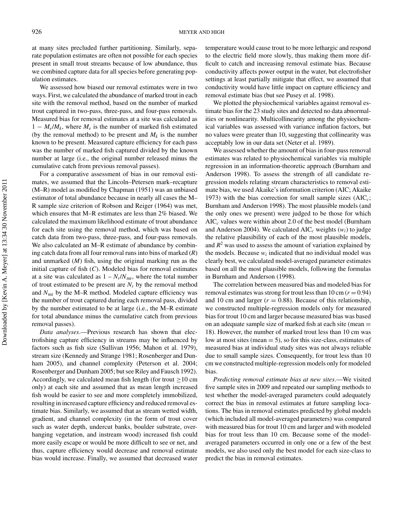at many sites precluded further partitioning. Similarly, separate population estimates are often not possible for each species present in small trout streams because of low abundance, thus we combined capture data for all species before generating population estimates.

We assessed how biased our removal estimates were in two ways. First, we calculated the abundance of marked trout in each site with the removal method, based on the number of marked trout captured in two-pass, three-pass, and four-pass removals. Measured bias for removal estimates at a site was calculated as  $1 - M_e/M_k$ , where  $M_e$  is the number of marked fish estimated (by the removal method) to be present and  $M_k$  is the number known to be present. Measured capture efficiency for each pass was the number of marked fish captured divided by the known number at large (i.e., the original number released minus the cumulative catch from previous removal passes).

For a comparative assessment of bias in our removal estimates, we assumed that the Lincoln–Petersen mark–recapture (M–R) model as modified by Chapman (1951) was an unbiased estimator of total abundance because in nearly all cases the M– R sample size criterion of Robson and Reiger (1964) was met, which ensures that M–R estimates are less than 2% biased. We calculated the maximum likelihood estimate of trout abundance for each site using the removal method, which was based on catch data from two-pass, three-pass, and four-pass removals. We also calculated an M–R estimate of abundance by combining catch data from all four removal runs into bins of marked (*R*) and unmarked (*M*) fish, using the original marking run as the initial capture of fish (*C*). Modeled bias for removal estimates at a site was calculated as  $1 - N_r/N_{\text{mr}}$ , where the total number of trout estimated to be present are  $N_r$  by the removal method and  $N<sub>mr</sub>$  by the M–R method. Modeled capture efficiency was the number of trout captured during each removal pass, divided by the number estimated to be at large (i.e., the M–R estimate for total abundance minus the cumulative catch from previous removal passes).

*Data analyses*.—Previous research has shown that electrofishing capture efficiency in streams may be influenced by factors such as fish size (Sullivan 1956; Mahon et al. 1979), stream size (Kennedy and Strange 1981; Rosenberger and Dunham 2005), and channel complexity (Peterson et al. 2004; Rosenberger and Dunham 2005; but see Riley and Fausch 1992). Accordingly, we calculated mean fish length (for trout  $\geq 10$  cm only) at each site and assumed that as mean length increased fish would be easier to see and more completely immobilized, resulting in increased capture efficiency and reduced removal estimate bias. Similarly, we assumed that as stream wetted width, gradient, and channel complexity (in the form of trout cover such as water depth, undercut banks, boulder substrate, overhanging vegetation, and instream wood) increased fish could more easily escape or would be more difficult to see or net, and thus, capture efficiency would decrease and removal estimate bias would increase. Finally, we assumed that decreased water

temperature would cause trout to be more lethargic and respond to the electric field more slowly, thus making them more difficult to catch and increasing removal estimate bias. Because conductivity affects power output in the water, but electrofisher settings at least partially mitigate that effect, we assumed that conductivity would have little impact on capture efficiency and removal estimate bias (but see Pusey et al. 1998).

We plotted the physiochemical variables against removal estimate bias for the 23 study sites and detected no data abnormalities or nonlinearity. Multicollinearity among the physiochemical variables was assessed with variance inflation factors, but no values were greater than 10, suggesting that collinearity was acceptably low in our data set (Neter et al. 1989).

We assessed whether the amount of bias in four-pass removal estimates was related to physiochemical variables via multiple regression in an information-theoretic approach (Burnham and Anderson 1998). To assess the strength of all candidate regression models relating stream characteristics to removal estimate bias, we used Akaike's information criterion (AIC; Akaike 1973) with the bias correction for small sample sizes (AIC*c*; Burnham and Anderson 1998). The most plausible models (and the only ones we present) were judged to be those for which AIC*<sup>c</sup>* values were within about 2.0 of the best model (Burnham and Anderson 2004). We calculated  $AIC_c$  weights  $(w_i)$  to judge the relative plausibility of each of the most plausible models, and  $R^2$  was used to assess the amount of variation explained by the models. Because  $w_i$  indicated that no individual model was clearly best, we calculated model-averaged parameter estimates based on all the most plausible models, following the formulas in Burnham and Anderson (1998).

The correlation between measured bias and modeled bias for removal estimates was strong for trout less than  $10 \text{ cm } (r = 0.94)$ and 10 cm and larger  $(r = 0.88)$ . Because of this relationship, we constructed multiple-regression models only for measured bias for trout 10 cm and larger because measured bias was based on an adequate sample size of marked fish at each site (mean = 18). However, the number of marked trout less than 10 cm was low at most sites (mean  $= 5$ ), so for this size-class, estimates of measured bias at individual study sites was not always reliable due to small sample sizes. Consequently, for trout less than 10 cm we constructed multiple-regression models only for modeled bias.

*Predicting removal estimate bias at new sites*.—We visited five sample sites in 2009 and repeated our sampling methods to test whether the model-averaged parameters could adequately correct the bias in removal estimates at future sampling locations. The bias in removal estimates predicted by global models (which included all model-averaged parameters) was compared with measured bias for trout 10 cm and larger and with modeled bias for trout less than 10 cm. Because some of the modelaveraged parameters occurred in only one or a few of the best models, we also used only the best model for each size-class to predict the bias in removal estimates.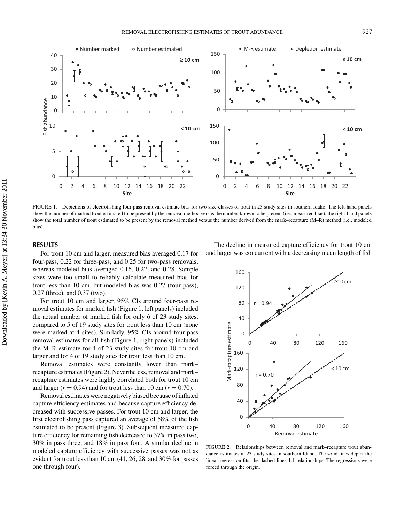

FIGURE 1. Depictions of electrofishing four-pass removal estimate bias for two size-classes of trout in 23 study sites in southern Idaho. The left-hand panels show the number of marked trout estimated to be present by the removal method versus the number known to be present (i.e., measured bias); the right-hand panels show the total number of trout estimated to be present by the removal method versus the number derived from the mark–recapture (M–R) method (i.e., modeled bias).

#### **RESULTS**

For trout 10 cm and larger, measured bias averaged 0.17 for four-pass, 0.22 for three-pass, and 0.25 for two-pass removals, whereas modeled bias averaged 0.16, 0.22, and 0.28. Sample sizes were too small to reliably calculate measured bias for trout less than 10 cm, but modeled bias was 0.27 (four pass), 0.27 (three), and 0.37 (two).

For trout 10 cm and larger, 95% CIs around four-pass removal estimates for marked fish (Figure 1, left panels) included the actual number of marked fish for only 6 of 23 study sites, compared to 5 of 19 study sites for trout less than 10 cm (none were marked at 4 sites). Similarly, 95% CIs around four-pass removal estimates for all fish (Figure 1, right panels) included the M–R estimate for 4 of 23 study sites for trout 10 cm and larger and for 4 of 19 study sites for trout less than 10 cm.

Removal estimates were constantly lower than mark– recapture estimates (Figure 2). Nevertheless, removal and mark– recapture estimates were highly correlated both for trout 10 cm and larger  $(r = 0.94)$  and for trout less than 10 cm  $(r = 0.70)$ .

Removal estimates were negatively biased because of inflated capture efficiency estimates and because capture efficiency decreased with successive passes. For trout 10 cm and larger, the first electrofishing pass captured an average of 58% of the fish estimated to be present (Figure 3). Subsequent measured capture efficiency for remaining fish decreased to 37% in pass two, 30% in pass three, and 18% in pass four. A similar decline in modeled capture efficiency with successive passes was not as evident for trout less than 10 cm (41, 26, 28, and 30% for passes one through four).

The decline in measured capture efficiency for trout 10 cm and larger was concurrent with a decreasing mean length of fish



FIGURE 2. Relationships between removal and mark–recapture trout abundance estimates at 23 study sites in southern Idaho. The solid lines depict the linear regression fits, the dashed lines 1:1 relationships. The regressions were forced through the origin.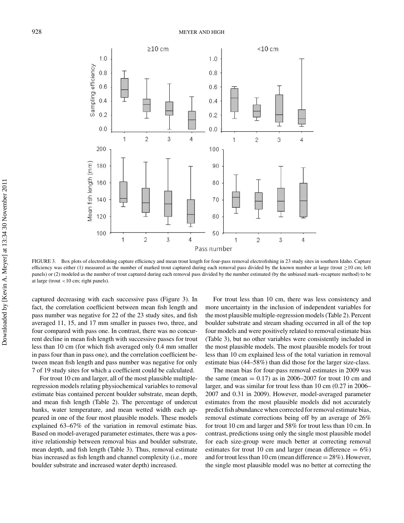

FIGURE 3. Box plots of electrofishing capture efficiency and mean trout length for four-pass removal electrofishing in 23 study sites in southern Idaho. Capture efficiency was either (1) measured as the number of marked trout captured during each removal pass divided by the known number at large (trout  $\geq$  10 cm; left panels) or (2) modeled as the number of trout captured during each removal pass divided by the number estimated (by the unbiased mark–recapture method) to be at large (trout <10 cm; right panels).

captured decreasing with each successive pass (Figure 3). In fact, the correlation coefficient between mean fish length and pass number was negative for 22 of the 23 study sites, and fish averaged 11, 15, and 17 mm smaller in passes two, three, and four compared with pass one. In contrast, there was no concurrent decline in mean fish length with successive passes for trout less than 10 cm (for which fish averaged only 0.4 mm smaller in pass four than in pass one), and the correlation coefficient between mean fish length and pass number was negative for only 7 of 19 study sites for which a coefficient could be calculated.

For trout 10 cm and larger, all of the most plausible multipleregression models relating physiochemical variables to removal estimate bias contained percent boulder substrate, mean depth, and mean fish length (Table 2). The percentage of undercut banks, water temperature, and mean wetted width each appeared in one of the four most plausible models. These models explained 63–67% of the variation in removal estimate bias. Based on model-averaged parameter estimates, there was a positive relationship between removal bias and boulder substrate, mean depth, and fish length (Table 3). Thus, removal estimate bias increased as fish length and channel complexity (i.e., more boulder substrate and increased water depth) increased.

For trout less than 10 cm, there was less consistency and more uncertainty in the inclusion of independent variables for the most plausible multiple-regression models (Table 2). Percent boulder substrate and stream shading occurred in all of the top four models and were positively related to removal estimate bias (Table 3), but no other variables were consistently included in the most plausible models. The most plausible models for trout less than 10 cm explained less of the total variation in removal estimate bias (44–58%) than did those for the larger size-class.

The mean bias for four-pass removal estimates in 2009 was the same (mean  $= 0.17$ ) as in 2006–2007 for trout 10 cm and larger, and was similar for trout less than 10 cm (0.27 in 2006– 2007 and 0.31 in 2009). However, model-averaged parameter estimates from the most plausible models did not accurately predict fish abundance when corrected for removal estimate bias, removal estimate corrections being off by an average of 26% for trout 10 cm and larger and 58% for trout less than 10 cm. In contrast, predictions using only the single most plausible model for each size-group were much better at correcting removal estimates for trout 10 cm and larger (mean difference  $= 6\%)$ and for trout less than  $10 \text{ cm}$  (mean difference = 28%). However, the single most plausible model was no better at correcting the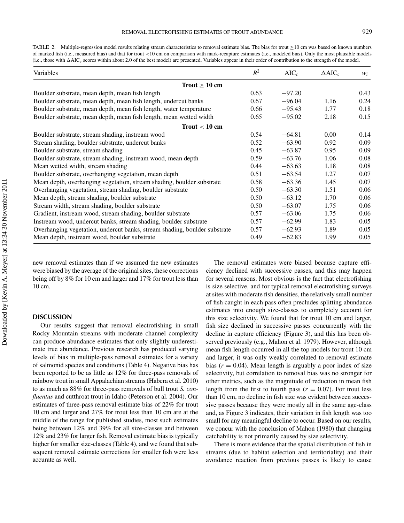TABLE 2. Multiple-regression model results relating stream characteristics to removal estimate bias. The bias for trout  $\geq 10$  cm was based on known numbers of marked fish (i.e., measured bias) and that for trout <10 cm on comparison with mark-recapture estimates (i.e., modeled bias). Only the most plausible models (i.e., those with AIC*<sup>c</sup>* scores within about 2.0 of the best model) are presented. Variables appear in their order of contribution to the strength of the model.

| Variables                                                                 | $R^2$ | $AIC_c$  | $\triangle$ AIC <sub>c</sub> | $W_i$ |
|---------------------------------------------------------------------------|-------|----------|------------------------------|-------|
| Trout $\geq 10$ cm                                                        |       |          |                              |       |
| Boulder substrate, mean depth, mean fish length                           | 0.63  | $-97.20$ |                              | 0.43  |
| Boulder substrate, mean depth, mean fish length, undercut banks           | 0.67  | $-96.04$ | 1.16                         | 0.24  |
| Boulder substrate, mean depth, mean fish length, water temperature        | 0.66  | $-95.43$ | 1.77                         | 0.18  |
| Boulder substrate, mean depth, mean fish length, mean wetted width        | 0.65  | $-95.02$ | 2.18                         | 0.15  |
| Trout $< 10$ cm                                                           |       |          |                              |       |
| Boulder substrate, stream shading, instream wood                          | 0.54  | $-64.81$ | 0.00                         | 0.14  |
| Stream shading, boulder substrate, undercut banks                         | 0.52  | $-63.90$ | 0.92                         | 0.09  |
| Boulder substrate, stream shading                                         | 0.45  | $-63.87$ | 0.95                         | 0.09  |
| Boulder substrate, stream shading, instream wood, mean depth              | 0.59  | $-63.76$ | 1.06                         | 0.08  |
| Mean wetted width, stream shading                                         | 0.44  | $-63.63$ | 1.18                         | 0.08  |
| Boulder substrate, overhanging vegetation, mean depth                     | 0.51  | $-63.54$ | 1.27                         | 0.07  |
| Mean depth, overhanging vegetation, stream shading, boulder substrate     | 0.58  | $-63.36$ | 1.45                         | 0.07  |
| Overhanging vegetation, stream shading, boulder substrate                 | 0.50  | $-63.30$ | 1.51                         | 0.06  |
| Mean depth, stream shading, boulder substrate                             | 0.50  | $-63.12$ | 1.70                         | 0.06  |
| Stream width, stream shading, boulder substrate                           | 0.50  | $-63.07$ | 1.75                         | 0.06  |
| Gradient, instream wood, stream shading, boulder substrate                | 0.57  | $-63.06$ | 1.75                         | 0.06  |
| Instream wood, undercut banks, stream shading, boulder substrate          | 0.57  | $-62.99$ | 1.83                         | 0.05  |
| Overhanging vegetation, undercut banks, stream shading, boulder substrate | 0.57  | $-62.93$ | 1.89                         | 0.05  |
| Mean depth, instream wood, boulder substrate                              | 0.49  | $-62.83$ | 1.99                         | 0.05  |

new removal estimates than if we assumed the new estimates were biased by the average of the original sites, these corrections being off by 8% for 10 cm and larger and 17% for trout less than 10 cm.

#### **DISCUSSION**

Our results suggest that removal electrofishing in small Rocky Mountain streams with moderate channel complexity can produce abundance estimates that only slightly underestimate true abundance. Previous research has produced varying levels of bias in multiple-pass removal estimates for a variety of salmonid species and conditions (Table 4). Negative bias has been reported to be as little as 12% for three-pass removals of rainbow trout in small Appalachian streams (Habera et al. 2010) to as much as 88% for three-pass removals of bull trout *S. confluentus* and cutthroat trout in Idaho (Peterson et al. 2004). Our estimates of three-pass removal estimate bias of 22% for trout 10 cm and larger and 27% for trout less than 10 cm are at the middle of the range for published studies, most such estimates being between 12% and 39% for all size-classes and between 12% and 23% for larger fish. Removal estimate bias is typically higher for smaller size-classes (Table 4), and we found that subsequent removal estimate corrections for smaller fish were less accurate as well.

The removal estimates were biased because capture efficiency declined with successive passes, and this may happen for several reasons. Most obvious is the fact that electrofishing is size selective, and for typical removal electrofishing surveys at sites with moderate fish densities, the relatively small number of fish caught in each pass often precludes splitting abundance estimates into enough size-classes to completely account for this size selectivity. We found that for trout 10 cm and larger, fish size declined in successive passes concurrently with the decline in capture efficiency (Figure 3), and this has been observed previously (e.g., Mahon et al. 1979). However, although mean fish length occurred in all the top models for trout 10 cm and larger, it was only weakly correlated to removal estimate bias  $(r = 0.04)$ . Mean length is arguably a poor index of size selectivity, but correlation to removal bias was no stronger for other metrics, such as the magnitude of reduction in mean fish length from the first to fourth pass  $(r = 0.07)$ . For trout less than 10 cm, no decline in fish size was evident between successive passes because they were mostly all in the same age-class and, as Figure 3 indicates, their variation in fish length was too small for any meaningful decline to occur. Based on our results, we concur with the conclusion of Mahon (1980) that changing catchability is not primarily caused by size selectivity.

There is more evidence that the spatial distribution of fish in streams (due to habitat selection and territoriality) and their avoidance reaction from previous passes is likely to cause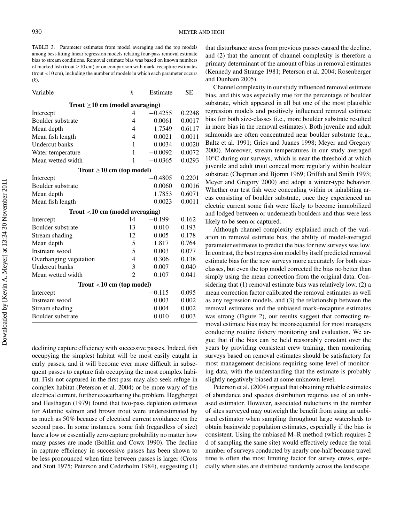TABLE 3. Parameter estimates from model averaging and the top models among best-fitting linear regression models relating four-pass removal estimate bias to stream conditions. Removal estimate bias was based on known numbers of marked fish (trout  $>10$  cm) or on comparison with mark–recapture estimates (trout <10 cm), including the number of models in which each parameter occurs (*k*).

| Variable                             | k              | Estimate            | SЕ     |  |
|--------------------------------------|----------------|---------------------|--------|--|
| Trout $\geq$ 10 cm (model averaging) |                |                     |        |  |
| Intercept                            | 4              | $-0.4255$           | 0.2248 |  |
| Boulder substrate                    | 4              | 0.0061              | 0.0017 |  |
| Mean depth                           | 4              | 1.7549              | 0.6117 |  |
| Mean fish length                     | 4              | 0.0021              | 0.0011 |  |
| <b>Undercut</b> banks                | 1              | 0.0034              | 0.0020 |  |
| Water temperature                    | 1              | $-0.0092$<br>0.0072 |        |  |
| Mean wetted width                    | 1              | $-0.0365$           | 0.0293 |  |
| Trout $\geq 10$ cm (top model)       |                |                     |        |  |
| Intercept                            |                | 0.4805              | 0.2201 |  |
| Boulder substrate                    |                | 0.0060              | 0.0016 |  |
| Mean depth                           |                | 1.7853              | 0.6071 |  |
| Mean fish length                     |                | 0.0023              | 0.0011 |  |
| Trout $<$ 10 cm (model averaging)    |                |                     |        |  |
| Intercept                            | 14             | $-0.199$            | 0.162  |  |
| Boulder substrate                    | 13             | 0.010               | 0.193  |  |
| Stream shading                       | 12             | 0.005               | 0.178  |  |
| Mean depth                           | 5              | 1.817               | 0.764  |  |
| Instream wood                        | 5              | 0.003               | 0.077  |  |
| Overhanging vegetation               | $\overline{4}$ | 0.306               | 0.138  |  |
| <b>Undercut</b> banks                | 3              | 0.007               | 0.040  |  |
| Mean wetted width                    | $\overline{2}$ | 0.107               | 0.041  |  |
| Trout $<$ 10 cm (top model)          |                |                     |        |  |
| Intercept                            |                | -0.115              | 0.095  |  |
| Instream wood                        |                | 0.003               | 0.002  |  |
| Stream shading                       |                | 0.004               | 0.002  |  |
| Boulder substrate                    |                | 0.010               | 0.003  |  |

declining capture efficiency with successive passes. Indeed, fish occupying the simplest habitat will be most easily caught in early passes, and it will become ever more difficult in subsequent passes to capture fish occupying the most complex habitat. Fish not captured in the first pass may also seek refuge in complex habitat (Peterson et al. 2004) or be more wary of the electrical current, further exacerbating the problem. Heggberget and Hesthagen (1979) found that two-pass depletion estimates for Atlantic salmon and brown trout were underestimated by as much as 50% because of electrical current avoidance on the second pass. In some instances, some fish (regardless of size) have a low or essentially zero capture probability no matter how many passes are made (Bohlin and Cowx 1990). The decline in capture efficiency in successive passes has been shown to be less pronounced when time between passes is larger (Cross and Stott 1975; Peterson and Cederholm 1984), suggesting (1)

that disturbance stress from previous passes caused the decline, and (2) that the amount of channel complexity is therefore a primary determinant of the amount of bias in removal estimates (Kennedy and Strange 1981; Peterson et al. 2004; Rosenberger and Dunham 2005).

Channel complexity in our study influenced removal estimate bias, and this was especially true for the percentage of boulder substrate, which appeared in all but one of the most plausible regression models and positively influenced removal estimate bias for both size-classes (i.e., more boulder substrate resulted in more bias in the removal estimates). Both juvenile and adult salmonids are often concentrated near boulder substrate (e.g., Baltz et al. 1991; Gries and Juanes 1998; Meyer and Gregory 2000). Moreover, stream temperatures in our study averaged  $10^{\circ}$ C during our surveys, which is near the threshold at which juvenile and adult trout conceal more regularly within boulder substrate (Chapman and Bjornn 1969; Griffith and Smith 1993; Meyer and Gregory 2000) and adopt a winter-type behavior. Whether our test fish were concealing within or inhabiting areas consisting of boulder substrate, once they experienced an electric current some fish were likely to become immobilized and lodged between or underneath boulders and thus were less likely to be seen or captured.

Although channel complexity explained much of the variation in removal estimate bias, the ability of model-averaged parameter estimates to predict the bias for new surveys was low. In contrast, the best regression model by itself predicted removal estimate bias for the new surveys more accurately for both sizeclasses, but even the top model corrected the bias no better than simply using the mean correction from the original data. Considering that (1) removal estimate bias was relatively low, (2) a mean correction factor calibrated the removal estimates as well as any regression models, and (3) the relationship between the removal estimates and the unbiased mark–recapture estimates was strong (Figure 2), our results suggest that correcting removal estimate bias may be inconsequential for most managers conducting routine fishery monitoring and evaluation. We argue that if the bias can be held reasonably constant over the years by providing consistent crew training, then monitoring surveys based on removal estimates should be satisfactory for most management decisions requiring some level of monitoring data, with the understanding that the estimate is probably slightly negatively biased at some unknown level.

Peterson et al. (2004) argued that obtaining reliable estimates of abundance and species distribution requires use of an unbiased estimator. However, associated reductions in the number of sites surveyed may outweigh the benefit from using an unbiased estimator when sampling throughout large watersheds to obtain basinwide population estimates, especially if the bias is consistent. Using the unbiased M–R method (which requires 2 d of sampling the same site) would effectively reduce the total number of surveys conducted by nearly one-half because travel time is often the most limiting factor for survey crews, especially when sites are distributed randomly across the landscape.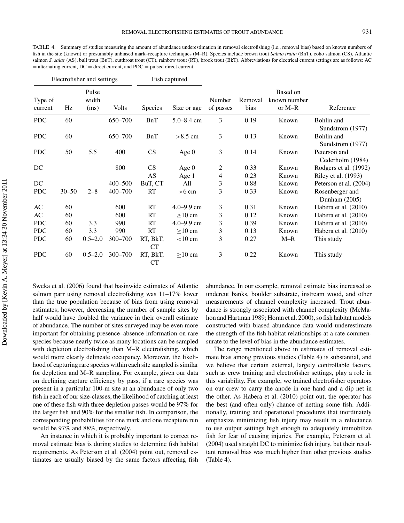TABLE 4. Summary of studies measuring the amount of abundance underestimation in removal electrofishing (i.e., removal bias) based on known numbers of fish in the site (known) or presumably unbiased mark–recapture techniques (M–R). Species include brown trout *Salmo trutta* (BnT), coho salmon (CS), Atlantic salmon *S. salar* (AS), bull trout (BuT), cutthroat trout (CT), rainbow trout (RT), brook trout (BkT). Abbreviations for electrical current settings are as follows: AC  $=$  alternating current, DC  $=$  direct current, and PDC  $=$  pulsed direct current.

|                    |           | Electrofisher and settings |             | Fish captured         |                   |                     |                 |                                    |                                  |
|--------------------|-----------|----------------------------|-------------|-----------------------|-------------------|---------------------|-----------------|------------------------------------|----------------------------------|
| Type of<br>current | Hz        | Pulse<br>width<br>(ms)     | Volts       | <b>Species</b>        | Size or age       | Number<br>of passes | Removal<br>bias | Based on<br>known number<br>or M-R | Reference                        |
| <b>PDC</b>         | 60        |                            | 650-700     | BnT                   | $5.0 - 8.4$ cm    | 3                   | 0.19            | Known                              | Bohlin and<br>Sundstrom (1977)   |
| <b>PDC</b>         | 60        |                            | 650-700     | <b>BnT</b>            | $>8.5$ cm         | 3                   | 0.13            | Known                              | Bohlin and<br>Sundstrom (1977)   |
| <b>PDC</b>         | 50        | 5.5                        | 400         | CS                    | Age $0$           | 3                   | 0.14            | Known                              | Peterson and<br>Cederholm (1984) |
| DC                 |           |                            | 800         | CS                    | Age $0$           | 2                   | 0.33            | Known                              | Rodgers et al. (1992)            |
|                    |           |                            |             | AS                    | Age 1             | 4                   | 0.23            | Known                              | Riley et al. (1993)              |
| DC                 |           |                            | 400-500     | BuT, CT               | All               | 3                   | 0.88            | Known                              | Peterson et al. (2004)           |
| <b>PDC</b>         | $30 - 50$ | $2 - 8$                    | $400 - 700$ | <b>RT</b>             | $>6$ cm           | 3                   | 0.33            | Known                              | Rosenberger and<br>Dunham (2005) |
| AC                 | 60        |                            | 600         | <b>RT</b>             | $4.0 - 9.9$ cm    | 3                   | 0.31            | Known                              | Habera et al. (2010)             |
| AC                 | 60        |                            | 600         | RT                    | $>10$ cm          | 3                   | 0.12            | Known                              | Habera et al. (2010)             |
| <b>PDC</b>         | 60        | 3.3                        | 990         | <b>RT</b>             | $4.0 - 9.9$ cm    | 3                   | 0.39            | Known                              | Habera et al. (2010)             |
| <b>PDC</b>         | 60        | 3.3                        | 990         | <b>RT</b>             | $>10$ cm          | 3                   | 0.13            | Known                              | Habera et al. (2010)             |
| <b>PDC</b>         | 60        | $0.5 - 2.0$                | $300 - 700$ | RT, BkT,<br><b>CT</b> | $< 10 \text{ cm}$ | 3                   | 0.27            | $M-R$                              | This study                       |
| <b>PDC</b>         | 60        | $0.5 - 2.0$                | 300-700     | RT, BkT,<br>CT        | $\geq$ 10 cm      | 3                   | 0.22            | Known                              | This study                       |

Sweka et al. (2006) found that basinwide estimates of Atlantic salmon parr using removal electrofishing was 11–17% lower than the true population because of bias from using removal estimates; however, decreasing the number of sample sites by half would have doubled the variance in their overall estimate of abundance. The number of sites surveyed may be even more important for obtaining presence–absence information on rare species because nearly twice as many locations can be sampled with depletion electrofishing than M–R electrofishing, which would more clearly delineate occupancy. Moreover, the likelihood of capturing rare species within each site sampled is similar for depletion and M–R sampling. For example, given our data on declining capture efficiency by pass, if a rare species was present in a particular 100-m site at an abundance of only two fish in each of our size-classes, the likelihood of catching at least one of these fish with three depletion passes would be 97% for the larger fish and 90% for the smaller fish. In comparison, the corresponding probabilities for one mark and one recapture run would be 97% and 88%, respectively.

An instance in which it is probably important to correct removal estimate bias is during studies to determine fish habitat requirements. As Peterson et al. (2004) point out, removal estimates are usually biased by the same factors affecting fish abundance. In our example, removal estimate bias increased as undercut banks, boulder substrate, instream wood, and other measurements of channel complexity increased. Trout abundance is strongly associated with channel complexity (McMahon and Hartman 1989; Horan et al. 2000), so fish habitat models constructed with biased abundance data would underestimate the strength of the fish habitat relationships at a rate commensurate to the level of bias in the abundance estimates.

The range mentioned above in estimates of removal estimate bias among previous studies (Table 4) is substantial, and we believe that certain external, largely controllable factors, such as crew training and electrofisher settings, play a role in this variability. For example, we trained electrofisher operators on our crew to carry the anode in one hand and a dip net in the other. As Habera et al. (2010) point out, the operator has the best (and often only) chance of netting some fish. Additionally, training and operational procedures that inordinately emphasize minimizing fish injury may result in a reluctance to use output settings high enough to adequately immobilize fish for fear of causing injuries. For example, Peterson et al. (2004) used straight DC to minimize fish injury, but their resultant removal bias was much higher than other previous studies (Table 4).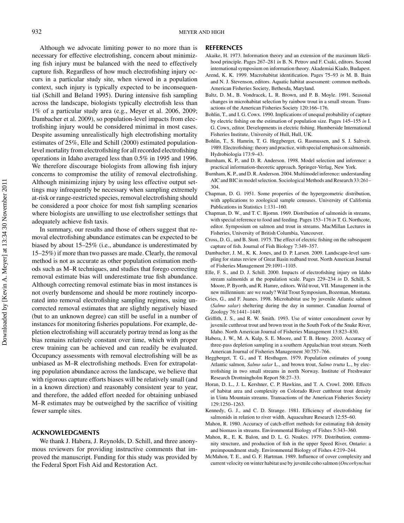Although we advocate limiting power to no more than is necessary for effective electrofishing, concern about minimizing fish injury must be balanced with the need to effectively capture fish. Regardless of how much electrofishing injury occurs in a particular study site, when viewed in a population context, such injury is typically expected to be inconsequential (Schill and Beland 1995). During intensive fish sampling across the landscape, biologists typically electrofish less than 1% of a particular study area (e.g., Meyer et al. 2006, 2009; Dambacher et al. 2009), so population-level impacts from electrofishing injury would be considered minimal in most cases. Despite assuming unrealistically high electrofishing mortality estimates of 25%, Elle and Schill (2000) estimated populationlevel mortality from electrofishing for all recorded electrofishing operations in Idaho averaged less than 0.5% in 1995 and 1996. We therefore discourage biologists from allowing fish injury concerns to compromise the utility of removal electrofishing. Although minimizing injury by using less effective output settings may infrequently be necessary when sampling extremely at-risk or range-restricted species, removal electrofishing should be considered a poor choice for most fish sampling scenarios where biologists are unwilling to use electrofisher settings that adequately achieve fish taxis.

In summary, our results and those of others suggest that removal electrofishing abundance estimates can be expected to be biased by about 15–25% (i.e., abundance is underestimated by 15–25%) if more than two passes are made. Clearly, the removal method is not as accurate as other population estimation methods such as M–R techniques, and studies that forego correcting removal estimate bias will underestimate true fish abundance. Although correcting removal estimate bias in most instances is not overly burdensome and should be more routinely incorporated into removal electrofishing sampling regimes, using uncorrected removal estimates that are slightly negatively biased (but to an unknown degree) can still be useful in a number of instances for monitoring fisheries populations. For example, depletion electrofishing will accurately portray trend as long as the bias remains relatively constant over time, which with proper crew training can be achieved and can readily be evaluated. Occupancy assessments with removal electrofishing will be as unbiased as M–R electrofishing methods. Even for extrapolating population abundance across the landscape, we believe that with rigorous capture efforts biases will be relatively small (and in a known direction) and reasonably consistent year to year, and therefore, the added effort needed for obtaining unbiased M–R estimates may be outweighed by the sacrifice of visiting fewer sample sites.

## **ACKNOWLEDGMENTS**

We thank J. Habera, J. Reynolds, D. Schill, and three anonymous reviewers for providing instructive comments that improved the manuscript. Funding for this study was provided by the Federal Sport Fish Aid and Restoration Act.

#### **REFERENCES**

- Akaike, H. 1973. Information theory and an extension of the maximum likelihood principle. Pages 267–281 *in* B. N. Petrov and F. Csaki, editors. Second international symposium on information theory. Akademiai Kiado, Budapest.
- Arend, K. K. 1999. Macrohabitat identification. Pages 75–93 *in* M. B. Bain and N. J. Stevenson, editors. Aquatic habitat assessment: common methods. American Fisheries Society, Bethesda, Maryland.
- Baltz, D. M., B. Vondracek, L. R. Brown, and P. B. Moyle. 1991. Seasonal changes in microhabitat selection by rainbow trout in a small stream. Transactions of the American Fisheries Society 120:166–176.
- Bohlin, T., and I. G. Cowx. 1990. Implications of unequal probability of capture by electric fishing on the estimation of population size. Pages 145–155 *in* I. G. Cowx, editor. Developments in electric fishing. Humberside International Fisheries Institute, University of Hull, Hull, UK.
- Bohlin, T., S. Hamrin, T. G. Heggberget, G. Rasmussen, and S. J. Saltveit. 1989. Electrofishing: theory and practice, with special emphasis on salmonids. Hydrobiologia 173:9–43.
- Burnham, K. P., and D. R. Anderson. 1998. Model selection and inference: a practical information-theoretic approach. Springer-Verlag, New York.
- Burnham, K. P., and D. R. Anderson. 2004. Multimodel inference: understanding AIC and BIC in model selection. Sociological Methods and Research 33:261– 304.
- Chapman, D. G. 1951. Some properties of the hypergeometric distribution, with applications to zoological sample censuses. University of California Publications in Statistics 1:131–160.
- Chapman, D. W., and T. C. Bjornn. 1969. Distribution of salmonids in streams, with special reference to food and feeding. Pages 153–176 *in* T. G. Northcote, editor. Symposium on salmon and trout in streams. MacMillan Lectures in Fisheries, University of British Columbia, Vancouver.
- Cross, D. G., and B. Stott. 1975. The effect of electric fishing on the subsequent capture of fish. Journal of Fish Biology 7:349–357.
- Dambacher, J. M., K. K. Jones, and D. P. Larsen. 2009. Landscape-level sampling for status review of Great Basin redband trout. North American Journal of Fisheries Management 29:1091–1105.
- Elle, F. S., and D. J. Schill. 2000. Impacts of electrofishing injury on Idaho stream salmonids at the population scale. Pages 229–234 *in* D. Schill, S. Moore, P. Byorth, and R. Hamre, editors. Wild trout, VII. Management in the new millennium: are we ready? Wild Trout Symposium, Bozeman, Montana.
- Gries, G., and F. Juanes. 1998. Microhabitat use by juvenile Atlantic salmon (*Salmo salar*) sheltering during the day in summer. Canadian Journal of Zoology 76:1441–1449.
- Griffith, J. S., and R. W. Smith. 1993. Use of winter concealment cover by juvenile cutthroat trout and brown trout in the South Fork of the Snake River, Idaho. North American Journal of Fisheries Management 13:823–830.
- Habera, J. W., M. A. Kulp, S. E. Moore, and T. B. Henry. 2010. Accuracy of three-pass depletion sampling in a southern Appalachian trout stream. North American Journal of Fisheries Management 30:757–766.
- Heggberget, T. G., and T. Hesthagen. 1979. Population estimates of young Atlantic salmon, *Salmo salar* L., and brown trout, *Salmo trutta* L., by electrofishing in two small streams in north Norway. Institute of Freshwater Research Drottningholm Report 58:27–33.
- Horan, D. L., J. L. Kershner, C. P. Hawkins, and T. A. Crowl. 2000. Effects of habitat area and complexity on Colorado River cutthroat trout density in Uinta Mountain streams. Transactions of the American Fisheries Society 129:1250–1263.
- Kennedy, G. J., and C. D. Strange. 1981. Efficiency of electrofishing for salmonids in relation to river width. Aquaculture Research 12:55–60.
- Mahon, R. 1980. Accuracy of catch-effort methods for estimating fish density and biomass in streams. Environmental Biology of Fishes 5:343–360.
- Mahon, R., E. K. Balon, and D. L. G. Noakes. 1979. Distribution, community structure, and production of fish in the upper Speed River, Ontario: a preimpoundment study. Environmental Biology of Fishes 4:219–244.
- McMahon, T. E., and G. F. Hartman. 1989. Influence of cover complexity and current velocity on winter habitat use by juvenile coho salmon (*Oncorhynchus*